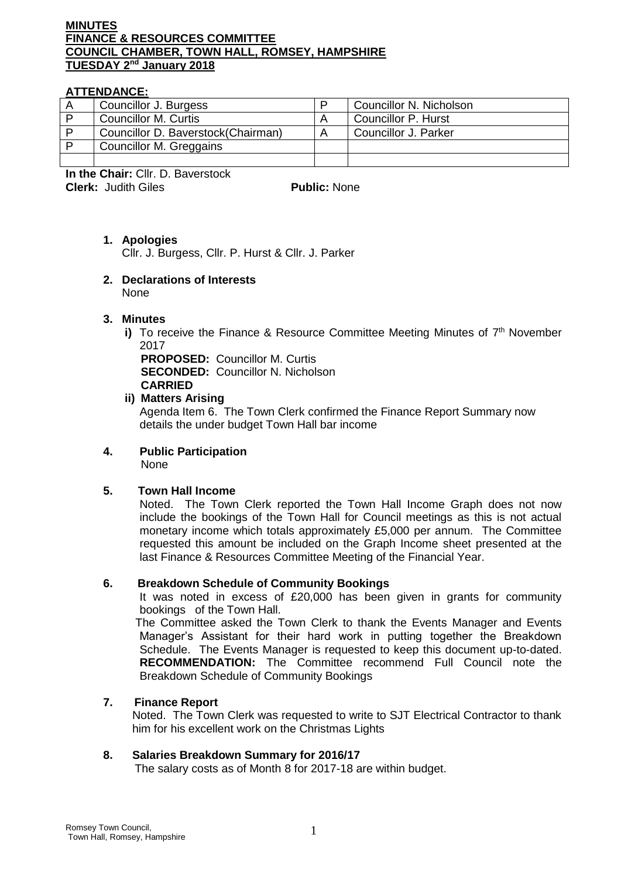# **MINUTES FINANCE & RESOURCES COMMITTEE COUNCIL CHAMBER, TOWN HALL, ROMSEY, HAMPSHIRE TUESDAY 2nd January 2018**

## **ATTENDANCE:**

| Councillor J. Burgess              |   | Councillor N. Nicholson |
|------------------------------------|---|-------------------------|
| <b>Councillor M. Curtis</b>        |   | Councillor P. Hurst     |
| Councillor D. Baverstock(Chairman) | A | Councillor J. Parker    |
| Councillor M. Greggains            |   |                         |
|                                    |   |                         |

**In the Chair:** Cllr. D. Baverstock **Clerk:** Judith Giles **Public:** None

# **1. Apologies**

Cllr. J. Burgess, Cllr. P. Hurst & Cllr. J. Parker

#### **2. Declarations of Interests**  None

### **3. Minutes**

i) To receive the Finance & Resource Committee Meeting Minutes of 7<sup>th</sup> November 2017

**PROPOSED:** Councillor M. Curtis **SECONDED:** Councillor N. Nicholson **CARRIED**

### **ii) Matters Arising**

Agenda Item 6. The Town Clerk confirmed the Finance Report Summary now details the under budget Town Hall bar income

# **4. Public Participation**

None

# **5. Town Hall Income**

Noted. The Town Clerk reported the Town Hall Income Graph does not now include the bookings of the Town Hall for Council meetings as this is not actual monetary income which totals approximately £5,000 per annum. The Committee requested this amount be included on the Graph Income sheet presented at the last Finance & Resources Committee Meeting of the Financial Year.

### **6. Breakdown Schedule of Community Bookings**

It was noted in excess of £20,000 has been given in grants for community bookings of the Town Hall.

The Committee asked the Town Clerk to thank the Events Manager and Events Manager's Assistant for their hard work in putting together the Breakdown Schedule. The Events Manager is requested to keep this document up-to-dated. **RECOMMENDATION:** The Committee recommend Full Council note the Breakdown Schedule of Community Bookings

## **7. Finance Report**

Noted. The Town Clerk was requested to write to SJT Electrical Contractor to thank him for his excellent work on the Christmas Lights

### **8. Salaries Breakdown Summary for 2016/17**

The salary costs as of Month 8 for 2017-18 are within budget.